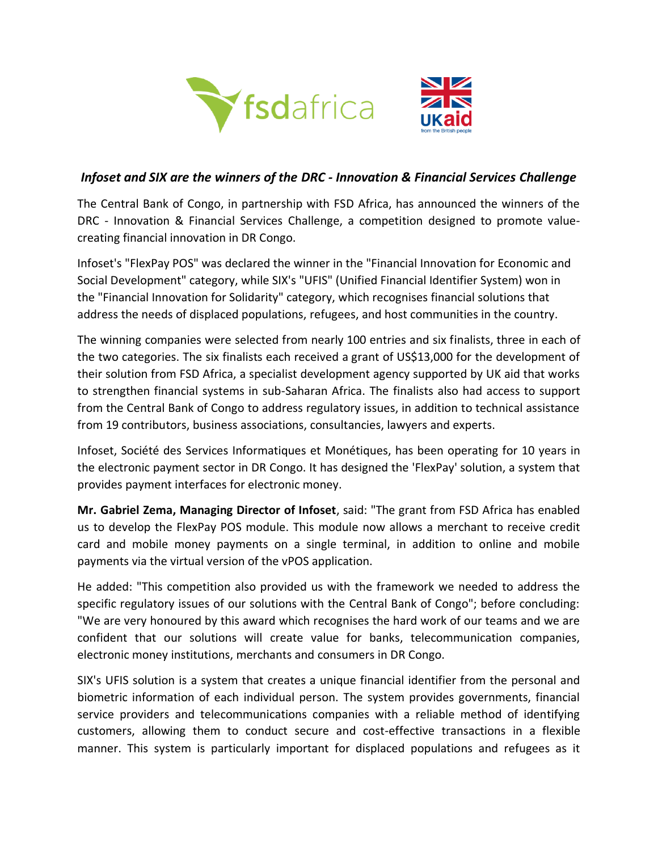

## *Infoset and SIX are the winners of the DRC - Innovation & Financial Services Challenge*

The Central Bank of Congo, in partnership with FSD Africa, has announced the winners of the DRC - Innovation & Financial Services Challenge, a competition designed to promote valuecreating financial innovation in DR Congo.

Infoset's "FlexPay POS" was declared the winner in the "Financial Innovation for Economic and Social Development" category, while SIX's "UFIS" (Unified Financial Identifier System) won in the "Financial Innovation for Solidarity" category, which recognises financial solutions that address the needs of displaced populations, refugees, and host communities in the country.

The winning companies were selected from nearly 100 entries and six finalists, three in each of the two categories. The six finalists each received a grant of US\$13,000 for the development of their solution from FSD Africa, a specialist development agency supported by UK aid that works to strengthen financial systems in sub-Saharan Africa. The finalists also had access to support from the Central Bank of Congo to address regulatory issues, in addition to technical assistance from 19 contributors, business associations, consultancies, lawyers and experts.

Infoset, Société des Services Informatiques et Monétiques, has been operating for 10 years in the electronic payment sector in DR Congo. It has designed the 'FlexPay' solution, a system that provides payment interfaces for electronic money.

**Mr. Gabriel Zema, Managing Director of Infoset**, said: "The grant from FSD Africa has enabled us to develop the FlexPay POS module. This module now allows a merchant to receive credit card and mobile money payments on a single terminal, in addition to online and mobile payments via the virtual version of the vPOS application.

He added: "This competition also provided us with the framework we needed to address the specific regulatory issues of our solutions with the Central Bank of Congo"; before concluding: "We are very honoured by this award which recognises the hard work of our teams and we are confident that our solutions will create value for banks, telecommunication companies, electronic money institutions, merchants and consumers in DR Congo.

SIX's UFIS solution is a system that creates a unique financial identifier from the personal and biometric information of each individual person. The system provides governments, financial service providers and telecommunications companies with a reliable method of identifying customers, allowing them to conduct secure and cost-effective transactions in a flexible manner. This system is particularly important for displaced populations and refugees as it